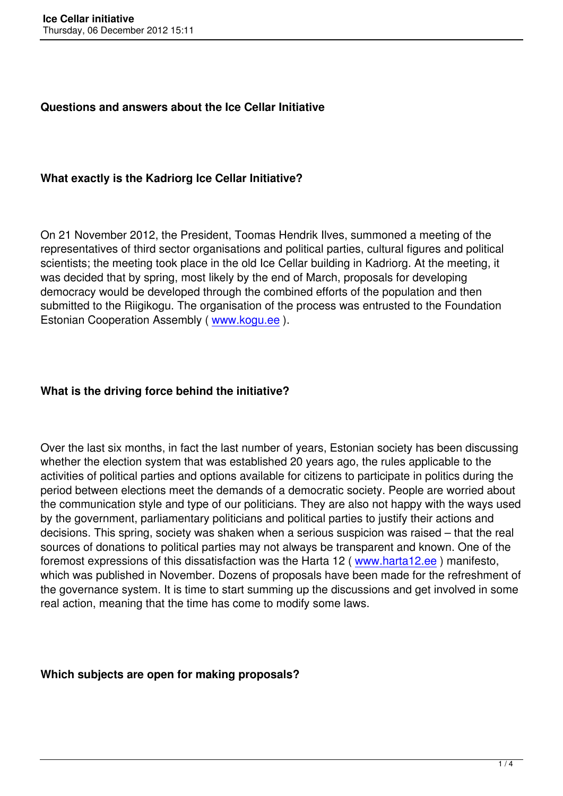#### **Questions and answers about the Ice Cellar Initiative**

#### **What exactly is the Kadriorg Ice Cellar Initiative?**

On 21 November 2012, the President, Toomas Hendrik Ilves, summoned a meeting of the representatives of third sector organisations and political parties, cultural figures and political scientists; the meeting took place in the old Ice Cellar building in Kadriorg. At the meeting, it was decided that by spring, most likely by the end of March, proposals for developing democracy would be developed through the combined efforts of the population and then submitted to the Riigikogu. The organisation of the process was entrusted to the Foundation Estonian Cooperation Assembly ( www.kogu.ee ).

#### **What is the driving force behind the initiative?**

Over the last six months, in fact the last number of years, Estonian society has been discussing whether the election system that was established 20 years ago, the rules applicable to the activities of political parties and options available for citizens to participate in politics during the period between elections meet the demands of a democratic society. People are worried about the communication style and type of our politicians. They are also not happy with the ways used by the government, parliamentary politicians and political parties to justify their actions and decisions. This spring, society was shaken when a serious suspicion was raised – that the real sources of donations to political parties may not always be transparent and known. One of the foremost expressions of this dissatisfaction was the Harta 12 (www.harta12.ee) manifesto, which was published in November. Dozens of proposals have been made for the refreshment of the governance system. It is time to start summing up the discussions and get involved in some real action, meaning that the time has come to modify some la[ws.](http://www.harta12.ee/eng/)

#### **Which subjects are open for making proposals?**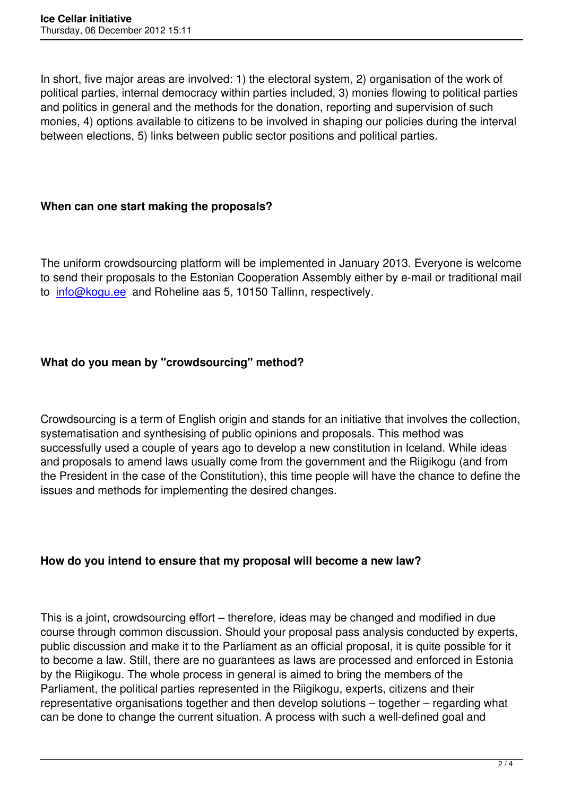In short, five major areas are involved: 1) the electoral system, 2) organisation of the work of political parties, internal democracy within parties included, 3) monies flowing to political parties and politics in general and the methods for the donation, reporting and supervision of such monies, 4) options available to citizens to be involved in shaping our policies during the interval between elections, 5) links between public sector positions and political parties.

### **When can one start making the proposals?**

The uniform crowdsourcing platform will be implemented in January 2013. Everyone is welcome to send their proposals to the Estonian Cooperation Assembly either by e-mail or traditional mail to info@kogu.ee and Roheline aas 5, 10150 Tallinn, respectively.

# **What do you mean by "crowdsourcing" method?**

Crowdsourcing is a term of English origin and stands for an initiative that involves the collection, systematisation and synthesising of public opinions and proposals. This method was successfully used a couple of years ago to develop a new constitution in Iceland. While ideas and proposals to amend laws usually come from the government and the Riigikogu (and from the President in the case of the Constitution), this time people will have the chance to define the issues and methods for implementing the desired changes.

## **How do you intend to ensure that my proposal will become a new law?**

This is a joint, crowdsourcing effort – therefore, ideas may be changed and modified in due course through common discussion. Should your proposal pass analysis conducted by experts, public discussion and make it to the Parliament as an official proposal, it is quite possible for it to become a law. Still, there are no guarantees as laws are processed and enforced in Estonia by the Riigikogu. The whole process in general is aimed to bring the members of the Parliament, the political parties represented in the Riigikogu, experts, citizens and their representative organisations together and then develop solutions – together – regarding what can be done to change the current situation. A process with such a well-defined goal and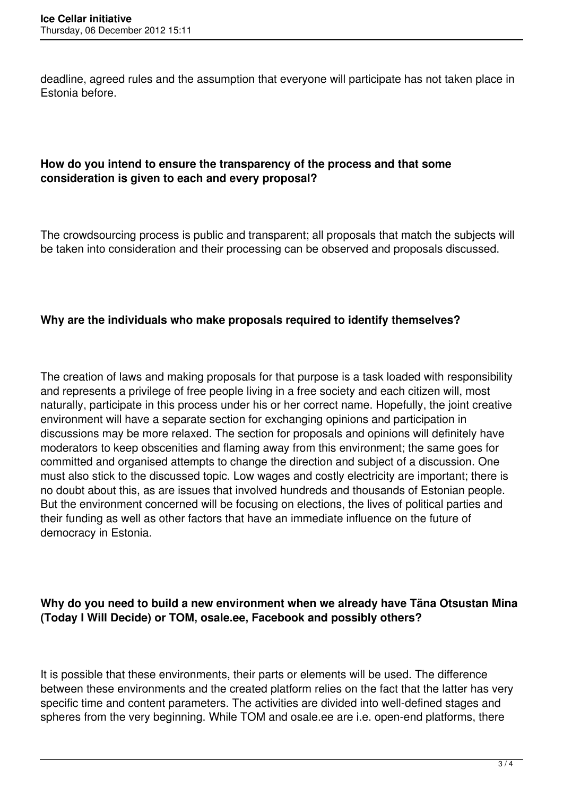deadline, agreed rules and the assumption that everyone will participate has not taken place in Estonia before.

### **How do you intend to ensure the transparency of the process and that some consideration is given to each and every proposal?**

The crowdsourcing process is public and transparent; all proposals that match the subjects will be taken into consideration and their processing can be observed and proposals discussed.

#### **Why are the individuals who make proposals required to identify themselves?**

The creation of laws and making proposals for that purpose is a task loaded with responsibility and represents a privilege of free people living in a free society and each citizen will, most naturally, participate in this process under his or her correct name. Hopefully, the joint creative environment will have a separate section for exchanging opinions and participation in discussions may be more relaxed. The section for proposals and opinions will definitely have moderators to keep obscenities and flaming away from this environment; the same goes for committed and organised attempts to change the direction and subject of a discussion. One must also stick to the discussed topic. Low wages and costly electricity are important; there is no doubt about this, as are issues that involved hundreds and thousands of Estonian people. But the environment concerned will be focusing on elections, the lives of political parties and their funding as well as other factors that have an immediate influence on the future of democracy in Estonia.

### **Why do you need to build a new environment when we already have Täna Otsustan Mina (Today I Will Decide) or TOM, osale.ee, Facebook and possibly others?**

It is possible that these environments, their parts or elements will be used. The difference between these environments and the created platform relies on the fact that the latter has very specific time and content parameters. The activities are divided into well-defined stages and spheres from the very beginning. While TOM and osale.ee are i.e. open-end platforms, there